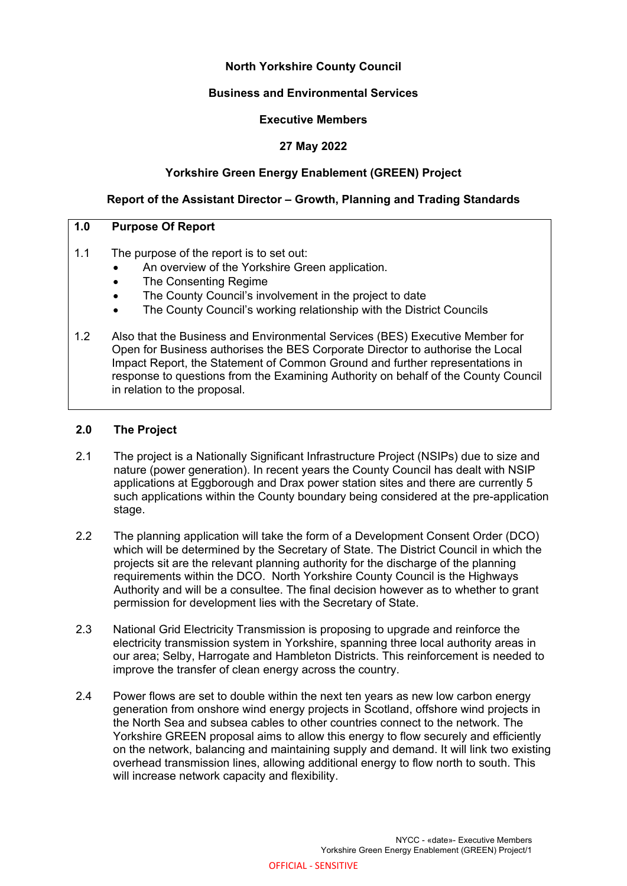# **North Yorkshire County Council**

### **Business and Environmental Services**

#### **Executive Members**

### **27 May 2022**

#### **Yorkshire Green Energy Enablement (GREEN) Project**

#### **Report of the Assistant Director – Growth, Planning and Trading Standards**

### **1.0 Purpose Of Report**

- 1.1 The purpose of the report is to set out:
	- An overview of the Yorkshire Green application.
	- The Consenting Regime
	- The County Council's involvement in the project to date
	- The County Council's working relationship with the District Councils
- 1.2 Also that the Business and Environmental Services (BES) Executive Member for Open for Business authorises the BES Corporate Director to authorise the Local Impact Report, the Statement of Common Ground and further representations in response to questions from the Examining Authority on behalf of the County Council in relation to the proposal.

# **2.0 The Project**

- 2.1 The project is a Nationally Significant Infrastructure Project (NSIPs) due to size and nature (power generation). In recent years the County Council has dealt with NSIP applications at Eggborough and Drax power station sites and there are currently 5 such applications within the County boundary being considered at the pre-application stage.
- 2.2 The planning application will take the form of a Development Consent Order (DCO) which will be determined by the Secretary of State. The District Council in which the projects sit are the relevant planning authority for the discharge of the planning requirements within the DCO. North Yorkshire County Council is the Highways Authority and will be a consultee. The final decision however as to whether to grant permission for development lies with the Secretary of State.
- 2.3 National Grid Electricity Transmission is proposing to upgrade and reinforce the electricity transmission system in Yorkshire, spanning three local authority areas in our area; Selby, Harrogate and Hambleton Districts. This reinforcement is needed to improve the transfer of clean energy across the country.
- 2.4 Power flows are set to double within the next ten years as new low carbon energy generation from onshore wind energy projects in Scotland, offshore wind projects in the North Sea and subsea cables to other countries connect to the network. The Yorkshire GREEN proposal aims to allow this energy to flow securely and efficiently on the network, balancing and maintaining supply and demand. It will link two existing overhead transmission lines, allowing additional energy to flow north to south. This will increase network capacity and flexibility.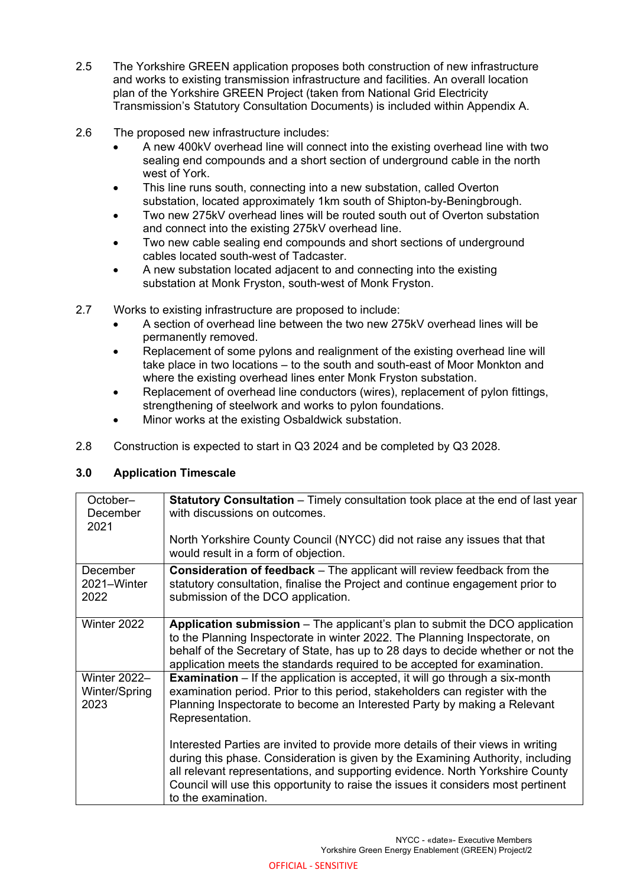- 2.5 The Yorkshire GREEN application proposes both construction of new infrastructure and works to existing transmission infrastructure and facilities. An overall location plan of the Yorkshire GREEN Project (taken from National Grid Electricity Transmission's Statutory Consultation Documents) is included within Appendix A.
- 2.6 The proposed new infrastructure includes:
	- A new 400kV overhead line will connect into the existing overhead line with two sealing end compounds and a short section of underground cable in the north west of York.
	- This line runs south, connecting into a new substation, called Overton substation, located approximately 1km south of Shipton-by-Beningbrough.
	- Two new 275kV overhead lines will be routed south out of Overton substation and connect into the existing 275kV overhead line.
	- Two new cable sealing end compounds and short sections of underground cables located south-west of Tadcaster.
	- A new substation located adjacent to and connecting into the existing substation at Monk Fryston, south-west of Monk Fryston.
- 2.7 Works to existing infrastructure are proposed to include:
	- A section of overhead line between the two new 275kV overhead lines will be permanently removed.
	- Replacement of some pylons and realignment of the existing overhead line will take place in two locations – to the south and south-east of Moor Monkton and where the existing overhead lines enter Monk Fryston substation.
	- Replacement of overhead line conductors (wires), replacement of pylon fittings, strengthening of steelwork and works to pylon foundations.
	- Minor works at the existing Osbaldwick substation.
- 2.8 Construction is expected to start in Q3 2024 and be completed by Q3 2028.

# **3.0 Application Timescale**

| October-<br>December<br>2021                 | <b>Statutory Consultation</b> – Timely consultation took place at the end of last year<br>with discussions on outcomes.<br>North Yorkshire County Council (NYCC) did not raise any issues that that<br>would result in a form of objection.                                                                                                                      |
|----------------------------------------------|------------------------------------------------------------------------------------------------------------------------------------------------------------------------------------------------------------------------------------------------------------------------------------------------------------------------------------------------------------------|
| December<br>2021-Winter<br>2022              | <b>Consideration of feedback</b> – The applicant will review feedback from the<br>statutory consultation, finalise the Project and continue engagement prior to<br>submission of the DCO application.                                                                                                                                                            |
| Winter 2022                                  | <b>Application submission</b> – The applicant's plan to submit the DCO application<br>to the Planning Inspectorate in winter 2022. The Planning Inspectorate, on<br>behalf of the Secretary of State, has up to 28 days to decide whether or not the<br>application meets the standards required to be accepted for examination.                                 |
| <b>Winter 2022-</b><br>Winter/Spring<br>2023 | <b>Examination</b> – If the application is accepted, it will go through a six-month<br>examination period. Prior to this period, stakeholders can register with the<br>Planning Inspectorate to become an Interested Party by making a Relevant<br>Representation.                                                                                               |
|                                              | Interested Parties are invited to provide more details of their views in writing<br>during this phase. Consideration is given by the Examining Authority, including<br>all relevant representations, and supporting evidence. North Yorkshire County<br>Council will use this opportunity to raise the issues it considers most pertinent<br>to the examination. |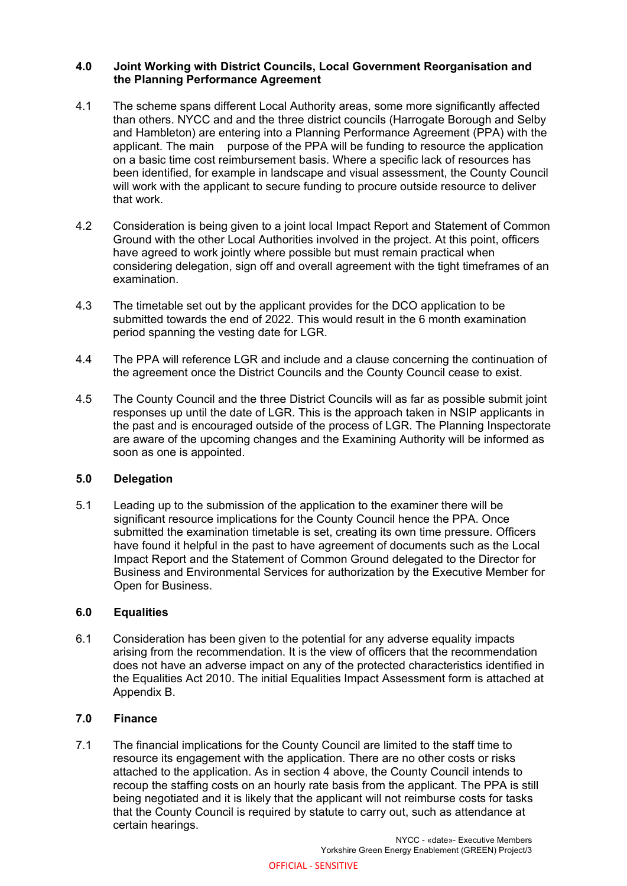### **4.0 Joint Working with District Councils, Local Government Reorganisation and the Planning Performance Agreement**

- 4.1 The scheme spans different Local Authority areas, some more significantly affected than others. NYCC and and the three district councils (Harrogate Borough and Selby and Hambleton) are entering into a Planning Performance Agreement (PPA) with the applicant. The main purpose of the PPA will be funding to resource the application on a basic time cost reimbursement basis. Where a specific lack of resources has been identified, for example in landscape and visual assessment, the County Council will work with the applicant to secure funding to procure outside resource to deliver that work.
- 4.2 Consideration is being given to a joint local Impact Report and Statement of Common Ground with the other Local Authorities involved in the project. At this point, officers have agreed to work jointly where possible but must remain practical when considering delegation, sign off and overall agreement with the tight timeframes of an examination.
- 4.3 The timetable set out by the applicant provides for the DCO application to be submitted towards the end of 2022. This would result in the 6 month examination period spanning the vesting date for LGR.
- 4.4 The PPA will reference LGR and include and a clause concerning the continuation of the agreement once the District Councils and the County Council cease to exist.
- 4.5 The County Council and the three District Councils will as far as possible submit joint responses up until the date of LGR. This is the approach taken in NSIP applicants in the past and is encouraged outside of the process of LGR. The Planning Inspectorate are aware of the upcoming changes and the Examining Authority will be informed as soon as one is appointed.

### **5.0 Delegation**

5.1 Leading up to the submission of the application to the examiner there will be significant resource implications for the County Council hence the PPA. Once submitted the examination timetable is set, creating its own time pressure. Officers have found it helpful in the past to have agreement of documents such as the Local Impact Report and the Statement of Common Ground delegated to the Director for Business and Environmental Services for authorization by the Executive Member for Open for Business.

### **6.0 Equalities**

6.1 Consideration has been given to the potential for any adverse equality impacts arising from the recommendation. It is the view of officers that the recommendation does not have an adverse impact on any of the protected characteristics identified in the Equalities Act 2010. The initial Equalities Impact Assessment form is attached at Appendix B.

# **7.0 Finance**

7.1 The financial implications for the County Council are limited to the staff time to resource its engagement with the application. There are no other costs or risks attached to the application. As in section 4 above, the County Council intends to recoup the staffing costs on an hourly rate basis from the applicant. The PPA is still being negotiated and it is likely that the applicant will not reimburse costs for tasks that the County Council is required by statute to carry out, such as attendance at certain hearings.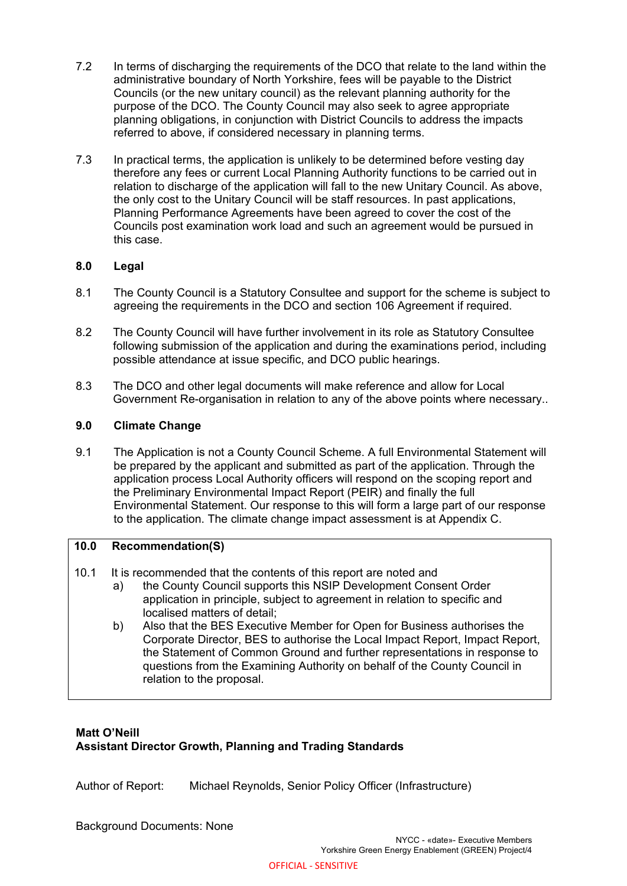- 7.2 In terms of discharging the requirements of the DCO that relate to the land within the administrative boundary of North Yorkshire, fees will be payable to the District Councils (or the new unitary council) as the relevant planning authority for the purpose of the DCO. The County Council may also seek to agree appropriate planning obligations, in conjunction with District Councils to address the impacts referred to above, if considered necessary in planning terms.
- 7.3 In practical terms, the application is unlikely to be determined before vesting day therefore any fees or current Local Planning Authority functions to be carried out in relation to discharge of the application will fall to the new Unitary Council. As above, the only cost to the Unitary Council will be staff resources. In past applications, Planning Performance Agreements have been agreed to cover the cost of the Councils post examination work load and such an agreement would be pursued in this case.

# **8.0 Legal**

- 8.1 The County Council is a Statutory Consultee and support for the scheme is subject to agreeing the requirements in the DCO and section 106 Agreement if required.
- 8.2 The County Council will have further involvement in its role as Statutory Consultee following submission of the application and during the examinations period, including possible attendance at issue specific, and DCO public hearings.
- 8.3 The DCO and other legal documents will make reference and allow for Local Government Re-organisation in relation to any of the above points where necessary..

### **9.0 Climate Change**

9.1 The Application is not a County Council Scheme. A full Environmental Statement will be prepared by the applicant and submitted as part of the application. Through the application process Local Authority officers will respond on the scoping report and the Preliminary Environmental Impact Report (PEIR) and finally the full Environmental Statement. Our response to this will form a large part of our response to the application. The climate change impact assessment is at Appendix C.

### **10.0 Recommendation(S)**

- 10.1 It is recommended that the contents of this report are noted and
	- a) the County Council supports this NSIP Development Consent Order application in principle, subject to agreement in relation to specific and localised matters of detail;
	- b) Also that the BES Executive Member for Open for Business authorises the Corporate Director, BES to authorise the Local Impact Report, Impact Report, the Statement of Common Ground and further representations in response to questions from the Examining Authority on behalf of the County Council in relation to the proposal.

# **Matt O'Neill**

# **Assistant Director Growth, Planning and Trading Standards**

Author of Report: Michael Reynolds, Senior Policy Officer (Infrastructure)

Background Documents: None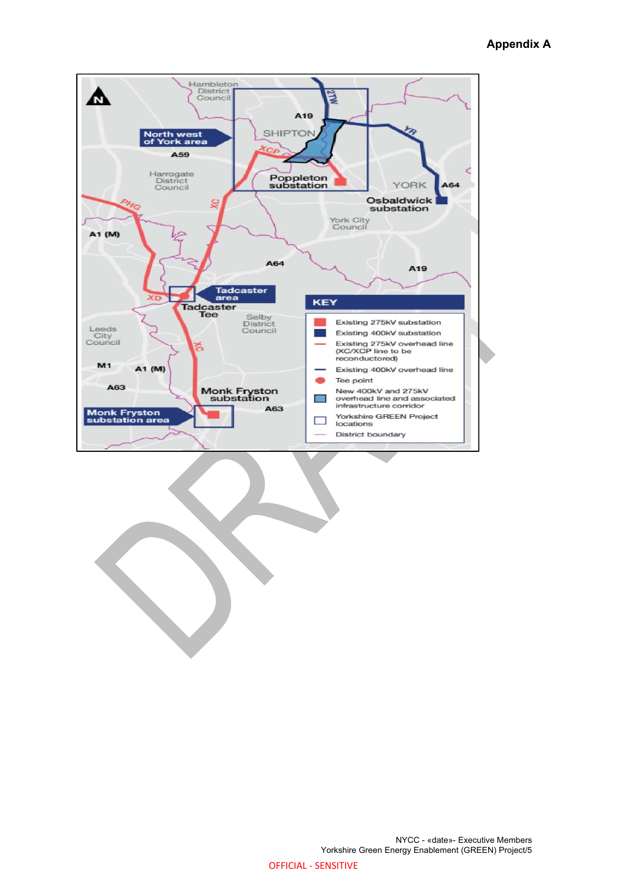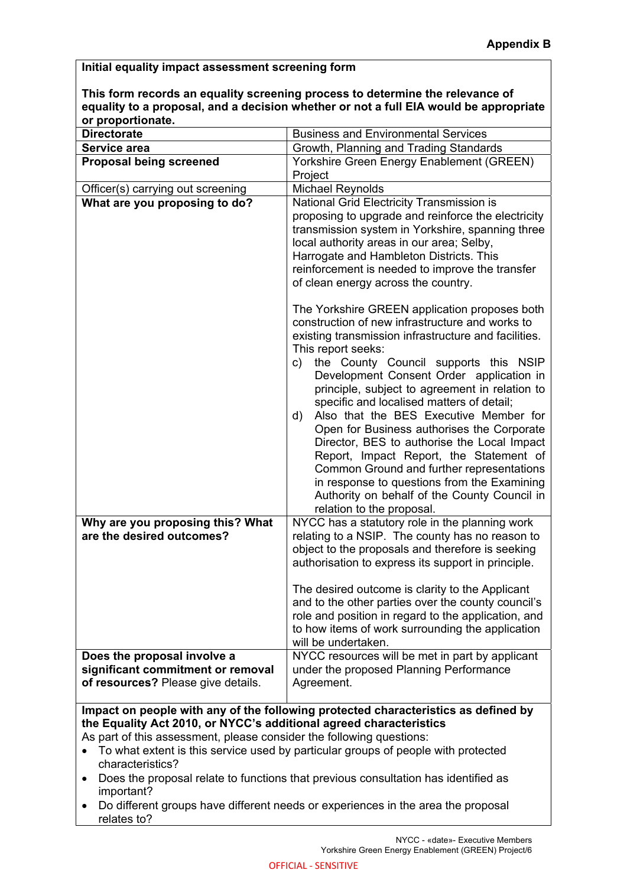#### **Initial equality impact assessment screening form**

**This form records an equality screening process to determine the relevance of equality to a proposal, and a decision whether or not a full EIA would be appropriate or proportionate.** 

| <b>Directorate</b>                                                   | <b>Business and Environmental Services</b>                                                                                                                                                                                                                                                                                                                                                                                                                                                                                                                                                                                                                                                                                                |  |  |  |
|----------------------------------------------------------------------|-------------------------------------------------------------------------------------------------------------------------------------------------------------------------------------------------------------------------------------------------------------------------------------------------------------------------------------------------------------------------------------------------------------------------------------------------------------------------------------------------------------------------------------------------------------------------------------------------------------------------------------------------------------------------------------------------------------------------------------------|--|--|--|
| Service area                                                         | Growth, Planning and Trading Standards                                                                                                                                                                                                                                                                                                                                                                                                                                                                                                                                                                                                                                                                                                    |  |  |  |
| <b>Proposal being screened</b>                                       | Yorkshire Green Energy Enablement (GREEN)                                                                                                                                                                                                                                                                                                                                                                                                                                                                                                                                                                                                                                                                                                 |  |  |  |
|                                                                      | Project                                                                                                                                                                                                                                                                                                                                                                                                                                                                                                                                                                                                                                                                                                                                   |  |  |  |
| Officer(s) carrying out screening                                    | Michael Reynolds                                                                                                                                                                                                                                                                                                                                                                                                                                                                                                                                                                                                                                                                                                                          |  |  |  |
| What are you proposing to do?                                        | National Grid Electricity Transmission is                                                                                                                                                                                                                                                                                                                                                                                                                                                                                                                                                                                                                                                                                                 |  |  |  |
|                                                                      | proposing to upgrade and reinforce the electricity<br>transmission system in Yorkshire, spanning three<br>local authority areas in our area; Selby,<br>Harrogate and Hambleton Districts. This<br>reinforcement is needed to improve the transfer<br>of clean energy across the country.                                                                                                                                                                                                                                                                                                                                                                                                                                                  |  |  |  |
|                                                                      | The Yorkshire GREEN application proposes both<br>construction of new infrastructure and works to<br>existing transmission infrastructure and facilities.<br>This report seeks:<br>the County Council supports this NSIP<br>c)<br>Development Consent Order application in<br>principle, subject to agreement in relation to<br>specific and localised matters of detail;<br>Also that the BES Executive Member for<br>d)<br>Open for Business authorises the Corporate<br>Director, BES to authorise the Local Impact<br>Report, Impact Report, the Statement of<br>Common Ground and further representations<br>in response to questions from the Examining<br>Authority on behalf of the County Council in<br>relation to the proposal. |  |  |  |
| Why are you proposing this? What<br>are the desired outcomes?        | NYCC has a statutory role in the planning work<br>relating to a NSIP. The county has no reason to<br>object to the proposals and therefore is seeking<br>authorisation to express its support in principle.<br>The desired outcome is clarity to the Applicant<br>and to the other parties over the county council's<br>role and position in regard to the application, and<br>to how items of work surrounding the application<br>will be undertaken.                                                                                                                                                                                                                                                                                    |  |  |  |
| Does the proposal involve a                                          | NYCC resources will be met in part by applicant                                                                                                                                                                                                                                                                                                                                                                                                                                                                                                                                                                                                                                                                                           |  |  |  |
| significant commitment or removal                                    | under the proposed Planning Performance                                                                                                                                                                                                                                                                                                                                                                                                                                                                                                                                                                                                                                                                                                   |  |  |  |
| of resources? Please give details.                                   | Agreement.                                                                                                                                                                                                                                                                                                                                                                                                                                                                                                                                                                                                                                                                                                                                |  |  |  |
|                                                                      |                                                                                                                                                                                                                                                                                                                                                                                                                                                                                                                                                                                                                                                                                                                                           |  |  |  |
|                                                                      | Impact on people with any of the following protected characteristics as defined by                                                                                                                                                                                                                                                                                                                                                                                                                                                                                                                                                                                                                                                        |  |  |  |
| the Equality Act 2010, or NYCC's additional agreed characteristics   |                                                                                                                                                                                                                                                                                                                                                                                                                                                                                                                                                                                                                                                                                                                                           |  |  |  |
| As part of this assessment, please consider the following questions: |                                                                                                                                                                                                                                                                                                                                                                                                                                                                                                                                                                                                                                                                                                                                           |  |  |  |
| characteristics?                                                     | To what extent is this service used by particular groups of people with protected                                                                                                                                                                                                                                                                                                                                                                                                                                                                                                                                                                                                                                                         |  |  |  |
|                                                                      | Does the proposal relate to functions that previous consultation has identified as                                                                                                                                                                                                                                                                                                                                                                                                                                                                                                                                                                                                                                                        |  |  |  |
| important?                                                           |                                                                                                                                                                                                                                                                                                                                                                                                                                                                                                                                                                                                                                                                                                                                           |  |  |  |

 Do different groups have different needs or experiences in the area the proposal relates to?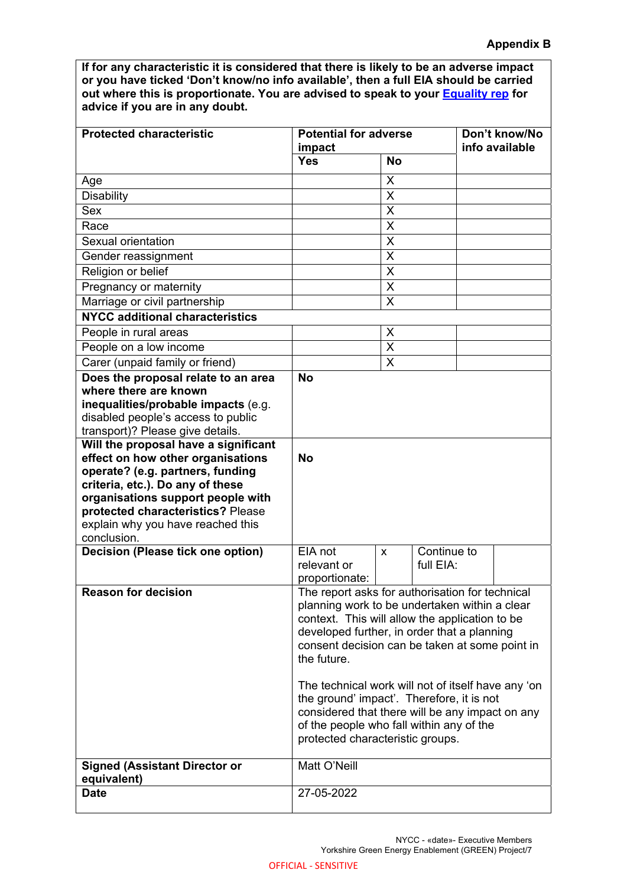**If for any characteristic it is considered that there is likely to be an adverse impact or you have ticked 'Don't know/no info available', then a full EIA should be carried out where this is proportionate. You are advised to speak to your Equality rep for advice if you are in any doubt.** 

| <b>Protected characteristic</b>                                                                     | <b>Potential for adverse</b>                                                                    |                |             | Don't know/No<br>info available |  |
|-----------------------------------------------------------------------------------------------------|-------------------------------------------------------------------------------------------------|----------------|-------------|---------------------------------|--|
|                                                                                                     | impact<br><b>Yes</b>                                                                            | <b>No</b>      |             |                                 |  |
| Age                                                                                                 |                                                                                                 | X              |             |                                 |  |
| <b>Disability</b>                                                                                   |                                                                                                 | X              |             |                                 |  |
| Sex                                                                                                 |                                                                                                 | X              |             |                                 |  |
| Race                                                                                                |                                                                                                 | X              |             |                                 |  |
| Sexual orientation                                                                                  |                                                                                                 | X              |             |                                 |  |
| Gender reassignment                                                                                 |                                                                                                 | X              |             |                                 |  |
| Religion or belief                                                                                  |                                                                                                 | X              |             |                                 |  |
| Pregnancy or maternity                                                                              |                                                                                                 | X              |             |                                 |  |
| Marriage or civil partnership                                                                       |                                                                                                 | X              |             |                                 |  |
| <b>NYCC additional characteristics</b>                                                              |                                                                                                 |                |             |                                 |  |
| People in rural areas                                                                               |                                                                                                 | X              |             |                                 |  |
| People on a low income                                                                              |                                                                                                 | X              |             |                                 |  |
| Carer (unpaid family or friend)                                                                     |                                                                                                 | X              |             |                                 |  |
| Does the proposal relate to an area<br>where there are known<br>inequalities/probable impacts (e.g. | <b>No</b>                                                                                       |                |             |                                 |  |
| disabled people's access to public                                                                  |                                                                                                 |                |             |                                 |  |
| transport)? Please give details.                                                                    |                                                                                                 |                |             |                                 |  |
| Will the proposal have a significant                                                                | <b>No</b>                                                                                       |                |             |                                 |  |
| effect on how other organisations<br>operate? (e.g. partners, funding                               |                                                                                                 |                |             |                                 |  |
| criteria, etc.). Do any of these                                                                    |                                                                                                 |                |             |                                 |  |
| organisations support people with                                                                   |                                                                                                 |                |             |                                 |  |
| protected characteristics? Please                                                                   |                                                                                                 |                |             |                                 |  |
| explain why you have reached this                                                                   |                                                                                                 |                |             |                                 |  |
|                                                                                                     |                                                                                                 |                |             |                                 |  |
| conclusion.                                                                                         |                                                                                                 |                |             |                                 |  |
| Decision (Please tick one option)                                                                   | EIA not                                                                                         | $\pmb{\times}$ | Continue to |                                 |  |
|                                                                                                     | relevant or                                                                                     |                | full EIA:   |                                 |  |
|                                                                                                     | proportionate:                                                                                  |                |             |                                 |  |
| <b>Reason for decision</b>                                                                          | The report asks for authorisation for technical                                                 |                |             |                                 |  |
|                                                                                                     | planning work to be undertaken within a clear<br>context. This will allow the application to be |                |             |                                 |  |
|                                                                                                     | developed further, in order that a planning                                                     |                |             |                                 |  |
|                                                                                                     | consent decision can be taken at some point in                                                  |                |             |                                 |  |
|                                                                                                     | the future.                                                                                     |                |             |                                 |  |
|                                                                                                     |                                                                                                 |                |             |                                 |  |
|                                                                                                     | The technical work will not of itself have any 'on                                              |                |             |                                 |  |
|                                                                                                     | the ground' impact'. Therefore, it is not<br>considered that there will be any impact on any    |                |             |                                 |  |
|                                                                                                     | of the people who fall within any of the                                                        |                |             |                                 |  |
|                                                                                                     | protected characteristic groups.                                                                |                |             |                                 |  |
| <b>Signed (Assistant Director or</b>                                                                | Matt O'Neill                                                                                    |                |             |                                 |  |
| equivalent)<br><b>Date</b>                                                                          | 27-05-2022                                                                                      |                |             |                                 |  |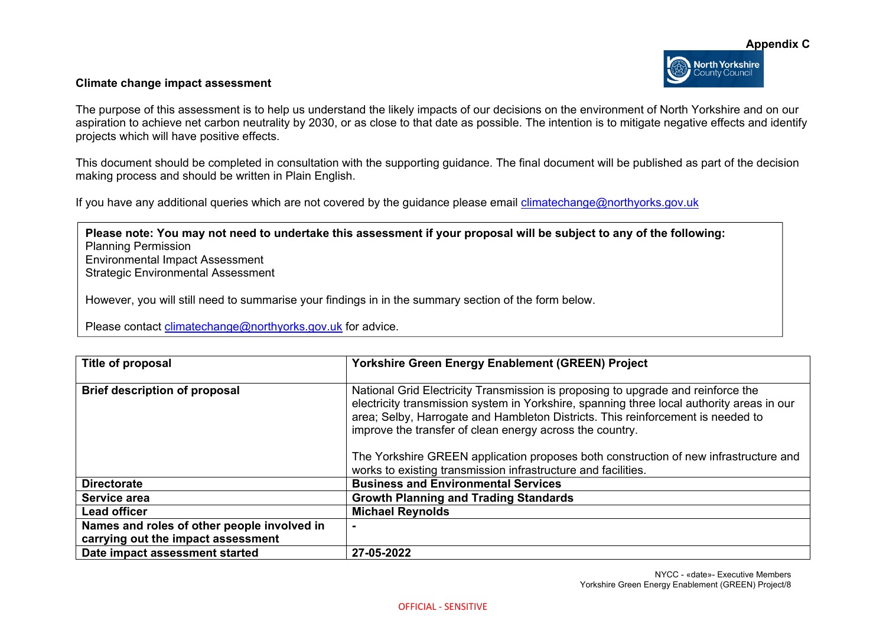#### **Climate change impact assessment**

The purpose of this assessment is to help us understand the likely impacts of our decisions on the environment of North Yorkshire and on our aspiration to achieve net carbon neutrality by 2030, or as close to that date as possible. The intention is to mitigate negative effects and identify projects which will have positive effects.

This document should be completed in consultation with the supporting guidance. The final document will be published as part of the decision making process and should be written in Plain English.

If you have any additional queries which are not covered by the guidance please email climatechange@northyorks.gov.uk

**Please note: You may not need to undertake this assessment if your proposal will be subject to any of the following:**  Planning Permission Environmental Impact Assessment Strategic Environmental Assessment

However, you will still need to summarise your findings in in the summary section of the form below.

Please contact climatechange@northyorks.gov.uk for advice.

| Title of proposal                           | <b>Yorkshire Green Energy Enablement (GREEN) Project</b>                                                                                                                                                                                                                                                                     |
|---------------------------------------------|------------------------------------------------------------------------------------------------------------------------------------------------------------------------------------------------------------------------------------------------------------------------------------------------------------------------------|
| <b>Brief description of proposal</b>        | National Grid Electricity Transmission is proposing to upgrade and reinforce the<br>electricity transmission system in Yorkshire, spanning three local authority areas in our<br>area; Selby, Harrogate and Hambleton Districts. This reinforcement is needed to<br>improve the transfer of clean energy across the country. |
|                                             | The Yorkshire GREEN application proposes both construction of new infrastructure and<br>works to existing transmission infrastructure and facilities.                                                                                                                                                                        |
| <b>Directorate</b>                          | <b>Business and Environmental Services</b>                                                                                                                                                                                                                                                                                   |
| Service area                                | <b>Growth Planning and Trading Standards</b>                                                                                                                                                                                                                                                                                 |
| <b>Lead officer</b>                         | <b>Michael Reynolds</b>                                                                                                                                                                                                                                                                                                      |
| Names and roles of other people involved in |                                                                                                                                                                                                                                                                                                                              |
| carrying out the impact assessment          |                                                                                                                                                                                                                                                                                                                              |
| Date impact assessment started              | 27-05-2022                                                                                                                                                                                                                                                                                                                   |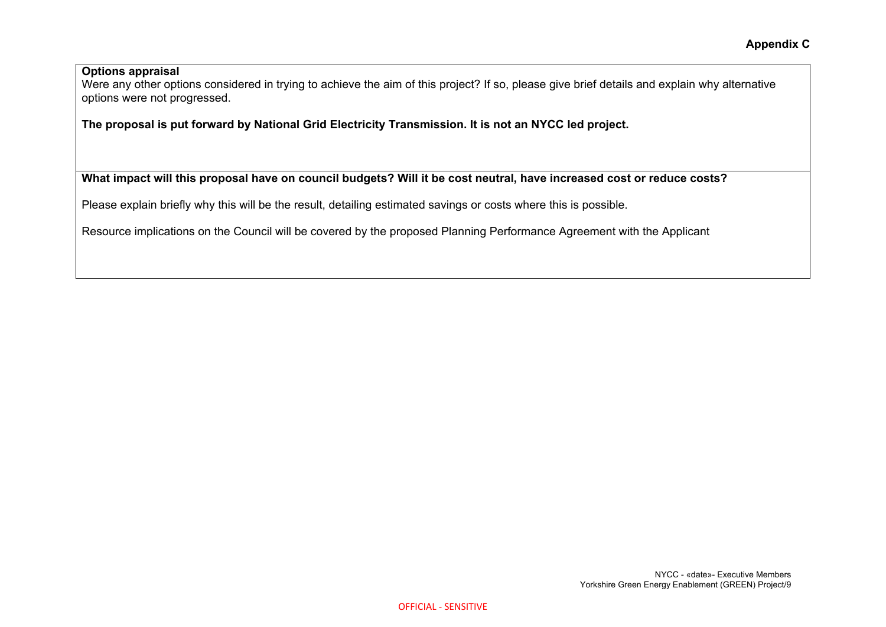### **Options appraisal**

Were any other options considered in trying to achieve the aim of this project? If so, please give brief details and explain why alternative options were not progressed.

**The proposal is put forward by National Grid Electricity Transmission. It is not an NYCC led project.** 

# **What impact will this proposal have on council budgets? Will it be cost neutral, have increased cost or reduce costs?**

Please explain briefly why this will be the result, detailing estimated savings or costs where this is possible.

Resource implications on the Council will be covered by the proposed Planning Performance Agreement with the Applicant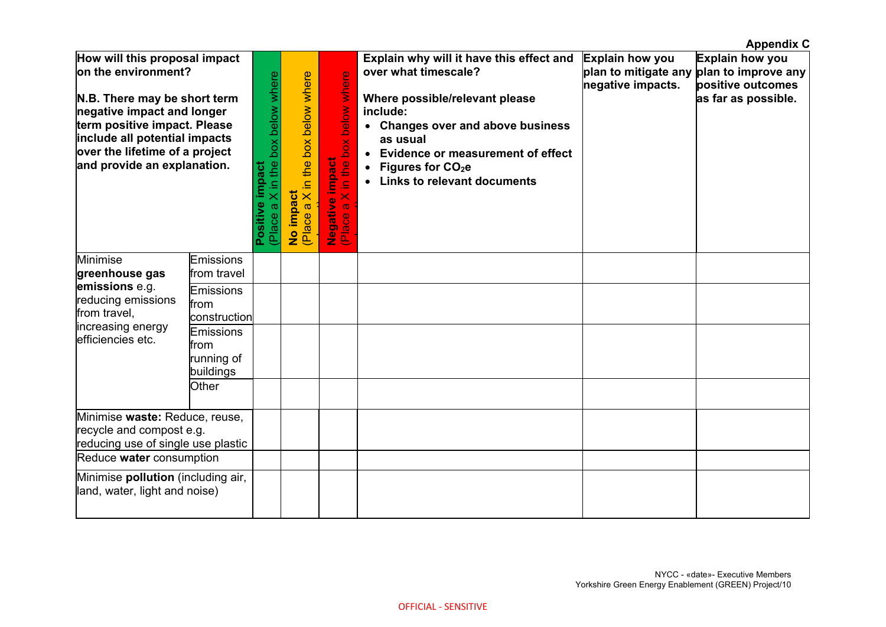|                                                                                                                                                                                                                                                      |                                                     |                                                         |                                                               |                                                                            |                                                                                                                                                                                                                                                                                            |                                             | <b>Appendix C</b>                                                                                       |
|------------------------------------------------------------------------------------------------------------------------------------------------------------------------------------------------------------------------------------------------------|-----------------------------------------------------|---------------------------------------------------------|---------------------------------------------------------------|----------------------------------------------------------------------------|--------------------------------------------------------------------------------------------------------------------------------------------------------------------------------------------------------------------------------------------------------------------------------------------|---------------------------------------------|---------------------------------------------------------------------------------------------------------|
| How will this proposal impact<br>on the environment?<br>N.B. There may be short term<br>negative impact and longer<br>term positive impact. Please<br>include all potential impacts<br>over the lifetime of a project<br>and provide an explanation. |                                                     | (Place a X in the box below where<br>impact<br>Positive | X in the box below where<br>No impact<br>$\sigma$<br>(Place a | below where<br>in the box<br><b>Negative impact</b><br>(Place a X in the I | Explain why will it have this effect and<br>over what timescale?<br>Where possible/relevant please<br>include:<br>• Changes over and above business<br>as usual<br><b>Evidence or measurement of effect</b><br>Figures for CO <sub>2</sub> e<br>$\bullet$<br>• Links to relevant documents | <b>Explain how you</b><br>negative impacts. | Explain how you<br>plan to mitigate any plan to improve any<br>positive outcomes<br>as far as possible. |
| Minimise<br>greenhouse gas                                                                                                                                                                                                                           | Emissions<br>from travel                            |                                                         |                                                               |                                                                            |                                                                                                                                                                                                                                                                                            |                                             |                                                                                                         |
| emissions e.g.<br>reducing emissions<br>from travel,<br>increasing energy<br>efficiencies etc.                                                                                                                                                       | Emissions<br>from<br>construction                   |                                                         |                                                               |                                                                            |                                                                                                                                                                                                                                                                                            |                                             |                                                                                                         |
|                                                                                                                                                                                                                                                      | <b>Emissions</b><br>from<br>running of<br>buildings |                                                         |                                                               |                                                                            |                                                                                                                                                                                                                                                                                            |                                             |                                                                                                         |
|                                                                                                                                                                                                                                                      | Other                                               |                                                         |                                                               |                                                                            |                                                                                                                                                                                                                                                                                            |                                             |                                                                                                         |
| Minimise waste: Reduce, reuse,<br>recycle and compost e.g.<br>reducing use of single use plastic                                                                                                                                                     |                                                     |                                                         |                                                               |                                                                            |                                                                                                                                                                                                                                                                                            |                                             |                                                                                                         |
| Reduce water consumption                                                                                                                                                                                                                             |                                                     |                                                         |                                                               |                                                                            |                                                                                                                                                                                                                                                                                            |                                             |                                                                                                         |
| Minimise pollution (including air,<br>land, water, light and noise)                                                                                                                                                                                  |                                                     |                                                         |                                                               |                                                                            |                                                                                                                                                                                                                                                                                            |                                             |                                                                                                         |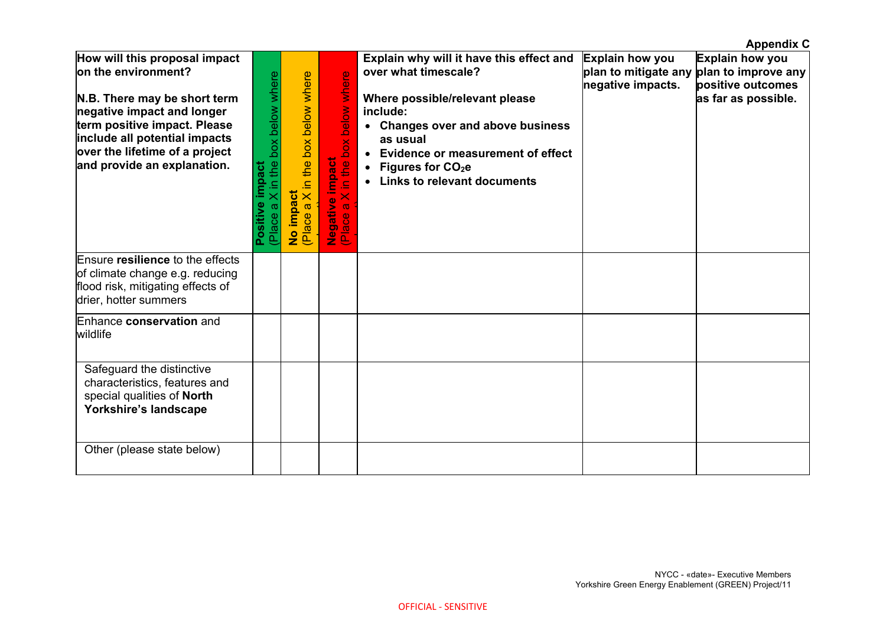|                                                                                                                                                                                                                                                      |                                                            |                                                             |                                                                                                 |                                                                                                                                                                                                                                                                            |                                             | <b>Appendix C</b>                                                                                       |
|------------------------------------------------------------------------------------------------------------------------------------------------------------------------------------------------------------------------------------------------------|------------------------------------------------------------|-------------------------------------------------------------|-------------------------------------------------------------------------------------------------|----------------------------------------------------------------------------------------------------------------------------------------------------------------------------------------------------------------------------------------------------------------------------|---------------------------------------------|---------------------------------------------------------------------------------------------------------|
| How will this proposal impact<br>on the environment?<br>N.B. There may be short term<br>negative impact and longer<br>term positive impact. Please<br>include all potential impacts<br>over the lifetime of a project<br>and provide an explanation. | X in the box below where<br>impact<br>Positive<br>(Place a | X in the box below where<br>No impact<br>$\varpi$<br>(Place | box below where<br><b>Negative impact</b><br>(Place a X in the I<br><u>la</u><br>$\overline{8}$ | Explain why will it have this effect and<br>over what timescale?<br>Where possible/relevant please<br>include:<br>• Changes over and above business<br>as usual<br>• Evidence or measurement of effect<br>• Figures for CO <sub>2</sub> e<br>• Links to relevant documents | <b>Explain how you</b><br>negative impacts. | Explain how you<br>plan to mitigate any plan to improve any<br>positive outcomes<br>as far as possible. |
| Ensure resilience to the effects<br>of climate change e.g. reducing<br>flood risk, mitigating effects of<br>drier, hotter summers                                                                                                                    |                                                            |                                                             |                                                                                                 |                                                                                                                                                                                                                                                                            |                                             |                                                                                                         |
| Enhance conservation and<br>wildlife                                                                                                                                                                                                                 |                                                            |                                                             |                                                                                                 |                                                                                                                                                                                                                                                                            |                                             |                                                                                                         |
| Safeguard the distinctive<br>characteristics, features and<br>special qualities of North<br>Yorkshire's landscape                                                                                                                                    |                                                            |                                                             |                                                                                                 |                                                                                                                                                                                                                                                                            |                                             |                                                                                                         |
| Other (please state below)                                                                                                                                                                                                                           |                                                            |                                                             |                                                                                                 |                                                                                                                                                                                                                                                                            |                                             |                                                                                                         |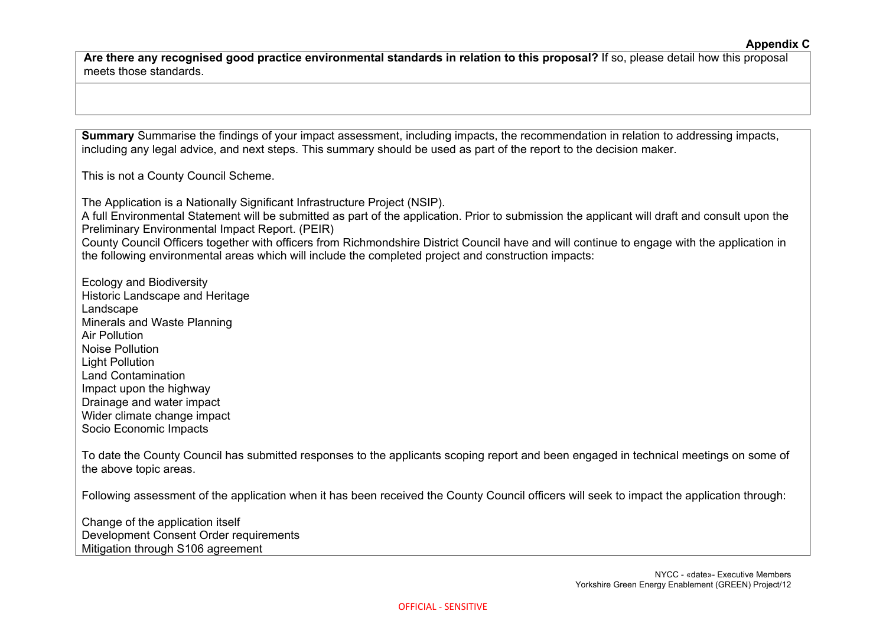**Are there any recognised good practice environmental standards in relation to this proposal?** If so, please detail how this proposal meets those standards.

**Summary** Summarise the findings of your impact assessment, including impacts, the recommendation in relation to addressing impacts, including any legal advice, and next steps. This summary should be used as part of the report to the decision maker.

This is not a County Council Scheme.

The Application is a Nationally Significant Infrastructure Project (NSIP).

A full Environmental Statement will be submitted as part of the application. Prior to submission the applicant will draft and consult upon the Preliminary Environmental Impact Report. (PEIR)

County Council Officers together with officers from Richmondshire District Council have and will continue to engage with the application in the following environmental areas which will include the completed project and construction impacts:

Ecology and Biodiversity Historic Landscape and Heritage Landscape Minerals and Waste Planning Air Pollution Noise Pollution Light Pollution Land Contamination Impact upon the highway Drainage and water impact Wider climate change impact Socio Economic Impacts

To date the County Council has submitted responses to the applicants scoping report and been engaged in technical meetings on some of the above topic areas.

Following assessment of the application when it has been received the County Council officers will seek to impact the application through:

Change of the application itself Development Consent Order requirements Mitigation through S106 agreement